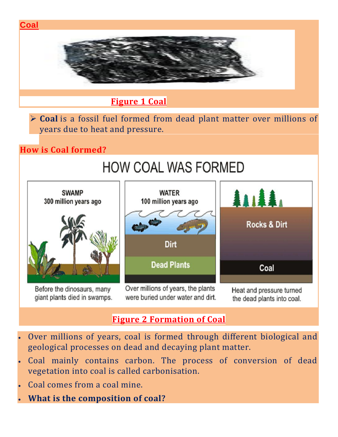

- Over millions of years, coal is formed through different biological and geological processes on dead and decaying plant matter.
- Coal mainly contains carbon. The process of conversion of dead vegetation into coal is called carbonisation.
- Coal comes from a coal mine.
- **What is the composition of coal?**